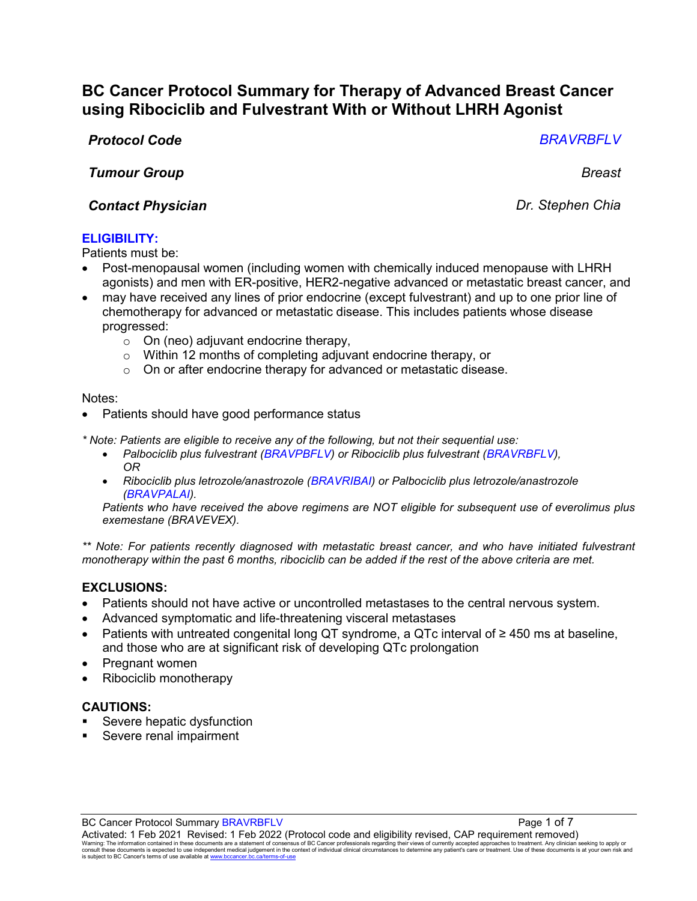# **BC Cancer Protocol Summary for Therapy of Advanced Breast Cancer using Ribociclib and Fulvestrant With or Without LHRH Agonist**

# *Protocol Code BRAVRBFLV*

*Tumour Group Breast*

# *Contact Physician Dr. Stephen Chia*

**ELIGIBILITY:**

Patients must be:

- Post-menopausal women (including women with chemically induced menopause with LHRH agonists) and men with ER-positive, HER2-negative advanced or metastatic breast cancer, and
- may have received any lines of prior endocrine (except fulvestrant) and up to one prior line of chemotherapy for advanced or metastatic disease. This includes patients whose disease progressed:
	- o On (neo) adjuvant endocrine therapy,
	- o Within 12 months of completing adjuvant endocrine therapy, or
	- o On or after endocrine therapy for advanced or metastatic disease.

Notes:

Patients should have good performance status

*\* Note: Patients are eligible to receive any of the following, but not their sequential use:*

- *Palbociclib plus fulvestrant (BRAVPBFLV) or Ribociclib plus fulvestrant (BRAVRBFLV), OR*
- *Ribociclib plus letrozole/anastrozole (BRAVRIBAI) or Palbociclib plus letrozole/anastrozole (BRAVPALAI).*

*Patients who have received the above regimens are NOT eligible for subsequent use of everolimus plus exemestane (BRAVEVEX).* 

*\*\* Note: For patients recently diagnosed with metastatic breast cancer, and who have initiated fulvestrant monotherapy within the past 6 months, ribociclib can be added if the rest of the above criteria are met.*

# **EXCLUSIONS:**

- Patients should not have active or uncontrolled metastases to the central nervous system.
- Advanced symptomatic and life-threatening visceral metastases
- Patients with untreated congenital long QT syndrome, a QTc interval of ≥ 450 ms at baseline, and those who are at significant risk of developing QTc prolongation
- Pregnant women
- Ribociclib monotherapy

### **CAUTIONS:**

- Severe hepatic dysfunction
- Severe renal impairment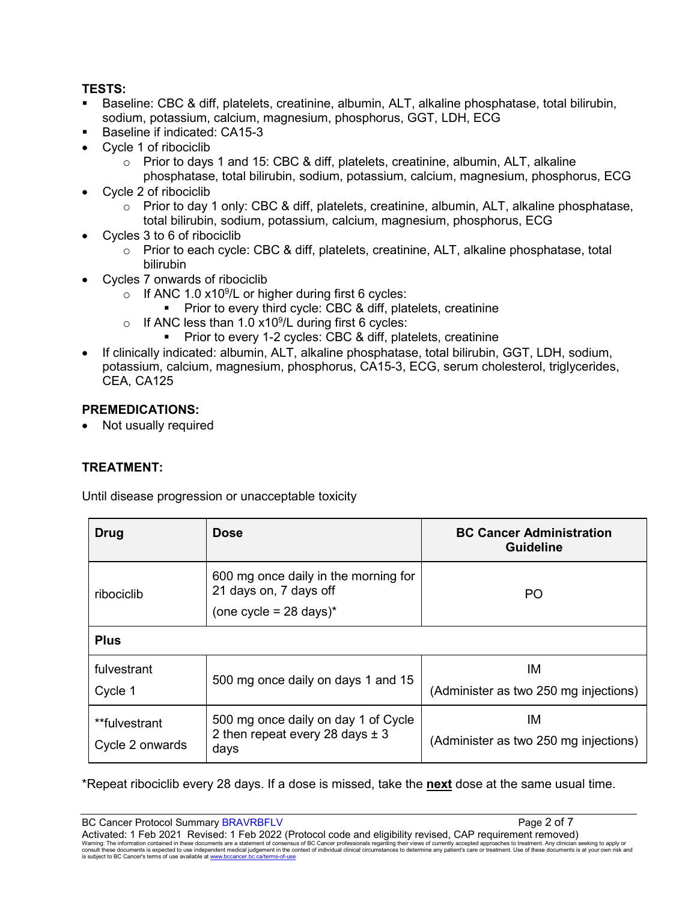## **TESTS:**

- Baseline: CBC & diff, platelets, creatinine, albumin, ALT, alkaline phosphatase, total bilirubin, sodium, potassium, calcium, magnesium, phosphorus, GGT, LDH, ECG
- Baseline if indicated: CA15-3
- Cycle 1 of ribociclib
	- $\circ$  Prior to days 1 and 15: CBC & diff, platelets, creatinine, albumin, ALT, alkaline phosphatase, total bilirubin, sodium, potassium, calcium, magnesium, phosphorus, ECG
- Cycle 2 of ribociclib
	- $\circ$  Prior to day 1 only: CBC & diff, platelets, creatinine, albumin, ALT, alkaline phosphatase, total bilirubin, sodium, potassium, calcium, magnesium, phosphorus, ECG
- Cycles 3 to 6 of ribociclib
	- o Prior to each cycle: CBC & diff, platelets, creatinine, ALT, alkaline phosphatase, total bilirubin
- Cycles 7 onwards of ribociclib
	- $\circ$  If ANC 1.0 x10<sup>9</sup>/L or higher during first 6 cycles:
		- **Prior to every third cycle: CBC & diff, platelets, creatinine**
	- $\circ$  If ANC less than 1.0 x10 $^9$ /L during first 6 cycles:
		- Prior to every 1-2 cycles: CBC & diff, platelets, creatinine
- If clinically indicated: albumin, ALT, alkaline phosphatase, total bilirubin, GGT, LDH, sodium, potassium, calcium, magnesium, phosphorus, CA15-3, ECG, serum cholesterol, triglycerides, CEA, CA125

### **PREMEDICATIONS:**

• Not usually required

# **TREATMENT:**

Until disease progression or unacceptable toxicity

| Drug                             | <b>Dose</b>                                                                              | <b>BC Cancer Administration</b><br><b>Guideline</b> |
|----------------------------------|------------------------------------------------------------------------------------------|-----------------------------------------------------|
| ribociclib                       | 600 mg once daily in the morning for<br>21 days on, 7 days off<br>(one cycle = 28 days)* | PO                                                  |
| <b>Plus</b>                      |                                                                                          |                                                     |
| fulvestrant<br>Cycle 1           | 500 mg once daily on days 1 and 15                                                       | ΙM<br>(Administer as two 250 mg injections)         |
| **fulvestrant<br>Cycle 2 onwards | 500 mg once daily on day 1 of Cycle<br>2 then repeat every 28 days $\pm$ 3<br>days       | ΙM<br>(Administer as two 250 mg injections)         |

\*Repeat ribociclib every 28 days. If a dose is missed, take the **next** dose at the same usual time.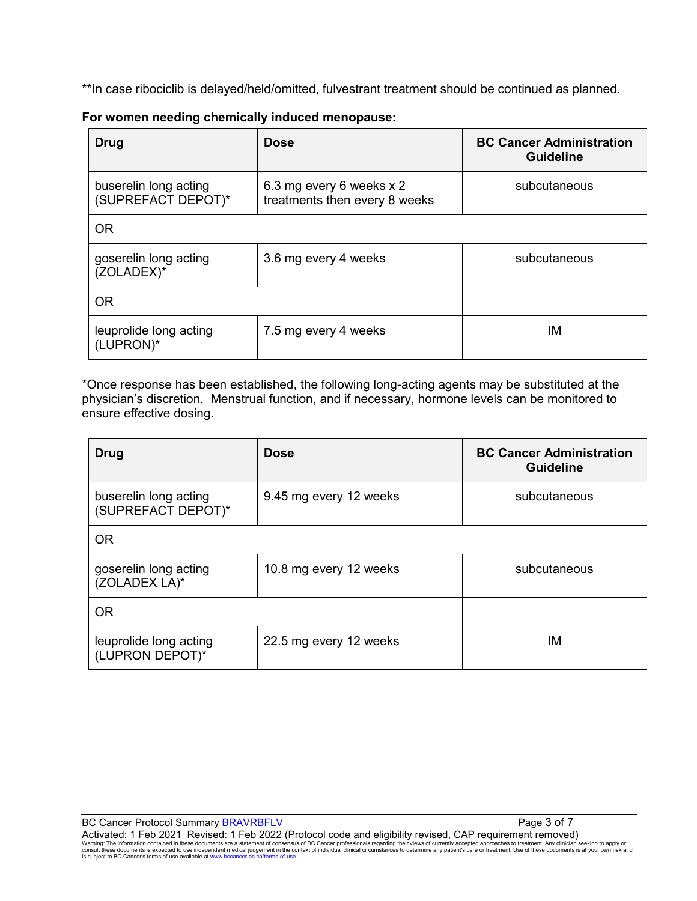\*\*In case ribociclib is delayed/held/omitted, fulvestrant treatment should be continued as planned.

| Drug                                        | <b>Dose</b>                                               | <b>BC Cancer Administration</b><br><b>Guideline</b> |
|---------------------------------------------|-----------------------------------------------------------|-----------------------------------------------------|
| buserelin long acting<br>(SUPREFACT DEPOT)* | 6.3 mg every 6 weeks x 2<br>treatments then every 8 weeks | subcutaneous                                        |
| <b>OR</b>                                   |                                                           |                                                     |
| goserelin long acting<br>(ZOLADEX)*         | 3.6 mg every 4 weeks                                      | subcutaneous                                        |
| <b>OR</b>                                   |                                                           |                                                     |
| leuprolide long acting<br>(LUPRON)*         | 7.5 mg every 4 weeks                                      | ΙM                                                  |

#### **For women needing chemically induced menopause:**

\*Once response has been established, the following long-acting agents may be substituted at the physician's discretion. Menstrual function, and if necessary, hormone levels can be monitored to ensure effective dosing.

| Drug                                        | <b>Dose</b>            | <b>BC Cancer Administration</b><br><b>Guideline</b> |
|---------------------------------------------|------------------------|-----------------------------------------------------|
| buserelin long acting<br>(SUPREFACT DEPOT)* | 9.45 mg every 12 weeks | subcutaneous                                        |
| <b>OR</b>                                   |                        |                                                     |
| goserelin long acting<br>(ZOLADEX LA)*      | 10.8 mg every 12 weeks | subcutaneous                                        |
| <b>OR</b>                                   |                        |                                                     |
| leuprolide long acting<br>(LUPRON DEPOT)*   | 22.5 mg every 12 weeks | ΙM                                                  |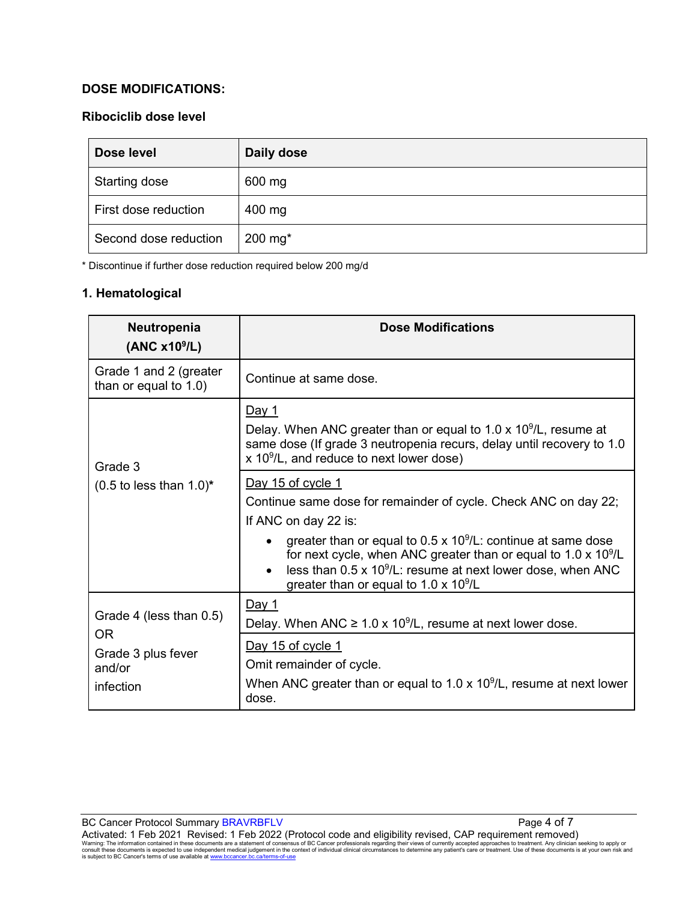## **DOSE MODIFICATIONS:**

## **Ribociclib dose level**

| Dose level            | Daily dose            |
|-----------------------|-----------------------|
| Starting dose         | 600 mg                |
| First dose reduction  | 400 mg                |
| Second dose reduction | $200$ mg <sup>*</sup> |

\* Discontinue if further dose reduction required below 200 mg/d

### **1. Hematological**

| Neutropenia<br>(ANC x10 <sup>9</sup> /L)          | <b>Dose Modifications</b>                                                                                                                                                                                                                                                                                                                                                              |
|---------------------------------------------------|----------------------------------------------------------------------------------------------------------------------------------------------------------------------------------------------------------------------------------------------------------------------------------------------------------------------------------------------------------------------------------------|
| Grade 1 and 2 (greater<br>than or equal to 1.0)   | Continue at same dose.                                                                                                                                                                                                                                                                                                                                                                 |
| Grade 3<br>$(0.5$ to less than $1.0$ <sup>*</sup> | <u>Day 1</u><br>Delay. When ANC greater than or equal to 1.0 x $10^9$ /L, resume at<br>same dose (If grade 3 neutropenia recurs, delay until recovery to 1.0<br>x 10 <sup>9</sup> /L, and reduce to next lower dose)                                                                                                                                                                   |
|                                                   | Day 15 of cycle 1<br>Continue same dose for remainder of cycle. Check ANC on day 22;<br>If ANC on day 22 is:<br>greater than or equal to $0.5 \times 10^9$ /L: continue at same dose<br>for next cycle, when ANC greater than or equal to $1.0 \times 10^9$ /L<br>less than $0.5 \times 10^9$ /L: resume at next lower dose, when ANC<br>greater than or equal to $1.0 \times 10^9$ /L |
| Grade 4 (less than 0.5)                           | <u>Day 1</u><br>Delay. When ANC $\geq 1.0 \times 10^9$ /L, resume at next lower dose.                                                                                                                                                                                                                                                                                                  |
| OR.<br>Grade 3 plus fever<br>and/or<br>infection  | Day 15 of cycle 1<br>Omit remainder of cycle.<br>When ANC greater than or equal to 1.0 x $10^9$ /L, resume at next lower<br>dose.                                                                                                                                                                                                                                                      |

BC Cancer Protocol Summary BRAVRBFLV Page 4 of 7 Activated: 1 Feb 2021 Revised: 1 Feb 2022 (Protocol code and eligibility revised, CAP requirement removed)<br>Warning: The information contained in these documents are a statement of consensus of BC Cancer professionals regar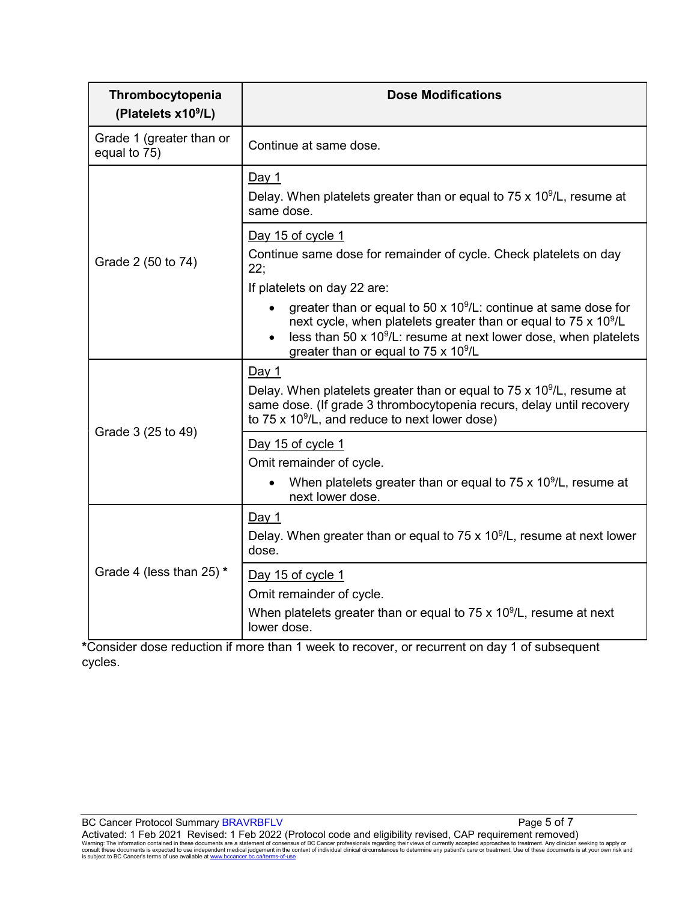| Thrombocytopenia<br>(Platelets x10 <sup>9</sup> /L) | <b>Dose Modifications</b>                                                                                                                                                                                                                                                                 |
|-----------------------------------------------------|-------------------------------------------------------------------------------------------------------------------------------------------------------------------------------------------------------------------------------------------------------------------------------------------|
| Grade 1 (greater than or<br>equal to 75)            | Continue at same dose.                                                                                                                                                                                                                                                                    |
| Grade 2 (50 to 74)                                  | <u>Day 1</u><br>Delay. When platelets greater than or equal to 75 x 10 <sup>9</sup> /L, resume at<br>same dose.                                                                                                                                                                           |
|                                                     | Day 15 of cycle 1<br>Continue same dose for remainder of cycle. Check platelets on day<br>22:<br>If platelets on day 22 are:                                                                                                                                                              |
|                                                     | greater than or equal to 50 x $10^9$ /L: continue at same dose for<br>next cycle, when platelets greater than or equal to 75 x 10 <sup>9</sup> /L<br>less than 50 x 10 <sup>9</sup> /L: resume at next lower dose, when platelets<br>$\bullet$<br>greater than or equal to 75 x $10^9$ /L |
| Grade 3 (25 to 49)                                  | Day 1<br>Delay. When platelets greater than or equal to $75 \times 10^9$ /L, resume at<br>same dose. (If grade 3 thrombocytopenia recurs, delay until recovery<br>to $75 \times 10^9$ /L, and reduce to next lower dose)                                                                  |
|                                                     | Day 15 of cycle 1<br>Omit remainder of cycle.<br>When platelets greater than or equal to 75 x $10^9$ /L, resume at                                                                                                                                                                        |
|                                                     | next lower dose.                                                                                                                                                                                                                                                                          |
| Grade 4 (less than $25$ ) *                         | Day 1<br>Delay. When greater than or equal to 75 x $10^9$ /L, resume at next lower<br>dose.                                                                                                                                                                                               |
|                                                     | Day 15 of cycle 1<br>Omit remainder of cycle.<br>When platelets greater than or equal to 75 x $10^9$ /L, resume at next<br>lower dose.                                                                                                                                                    |

**\***Consider dose reduction if more than 1 week to recover, or recurrent on day 1 of subsequent cycles.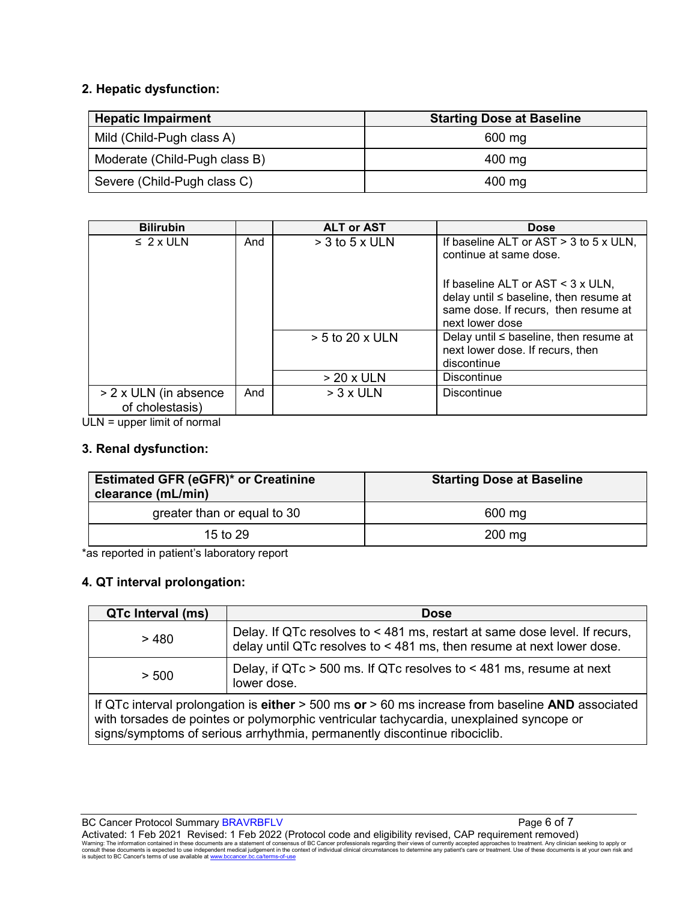## **2. Hepatic dysfunction:**

| <b>Hepatic Impairment</b>     | <b>Starting Dose at Baseline</b> |
|-------------------------------|----------------------------------|
| Mild (Child-Pugh class A)     | 600 mg                           |
| Moderate (Child-Pugh class B) | 400 mg                           |
| Severe (Child-Pugh class C)   | 400 mg                           |

| <b>Bilirubin</b>                         |     | <b>ALT or AST</b>                | <b>Dose</b>                                                                                                                                                                                                       |
|------------------------------------------|-----|----------------------------------|-------------------------------------------------------------------------------------------------------------------------------------------------------------------------------------------------------------------|
| $\leq 2 \times$ ULN                      | And | $>$ 3 to 5 x ULN                 | If baseline ALT or AST $>$ 3 to 5 x ULN,<br>continue at same dose.<br>If baseline ALT or AST $\leq$ 3 x ULN,<br>delay until ≤ baseline, then resume at<br>same dose. If recurs, then resume at<br>next lower dose |
|                                          |     | $> 5$ to 20 x ULN<br>$> 20x$ ULN | Delay until $\leq$ baseline, then resume at<br>next lower dose. If recurs, then<br>discontinue<br><b>Discontinue</b>                                                                                              |
| > 2 x ULN (in absence<br>of cholestasis) | And | $> 3x$ ULN                       | Discontinue                                                                                                                                                                                                       |

ULN = upper limit of normal

#### **3. Renal dysfunction:**

| <b>Estimated GFR (eGFR)* or Creatinine</b><br>clearance (mL/min) | <b>Starting Dose at Baseline</b> |
|------------------------------------------------------------------|----------------------------------|
| greater than or equal to 30                                      | 600 mg                           |
| 15 to $29$                                                       | $200 \text{ mg}$                 |

\*as reported in patient's laboratory report

### **4. QT interval prolongation:**

| QTc Interval (ms)                                                                                                                                                                                                                                                            | <b>Dose</b>                                                                                                                                         |  |
|------------------------------------------------------------------------------------------------------------------------------------------------------------------------------------------------------------------------------------------------------------------------------|-----------------------------------------------------------------------------------------------------------------------------------------------------|--|
| >480                                                                                                                                                                                                                                                                         | Delay. If QTc resolves to < 481 ms, restart at same dose level. If recurs,<br>delay until QTc resolves to < 481 ms, then resume at next lower dose. |  |
| > 500                                                                                                                                                                                                                                                                        | Delay, if QTc > 500 ms. If QTc resolves to < 481 ms, resume at next<br>lower dose.                                                                  |  |
| If QTc interval prolongation is either $>$ 500 ms or $>$ 60 ms increase from baseline AND associated<br>with torsades de pointes or polymorphic ventricular tachycardia, unexplained syncope or<br>signs/symptoms of serious arrhythmia, permanently discontinue ribociclib. |                                                                                                                                                     |  |

BC Cancer Protocol Summary BRAVRBFLV Page 6 of 7 Activated: 1 Feb 2021 Revised: 1 Feb 2022 (Protocol code and eligibility revised, CAP requirement removed)<br>Warning: The information contained in these documents are a statement of consensus of BC Cancer professionals regar